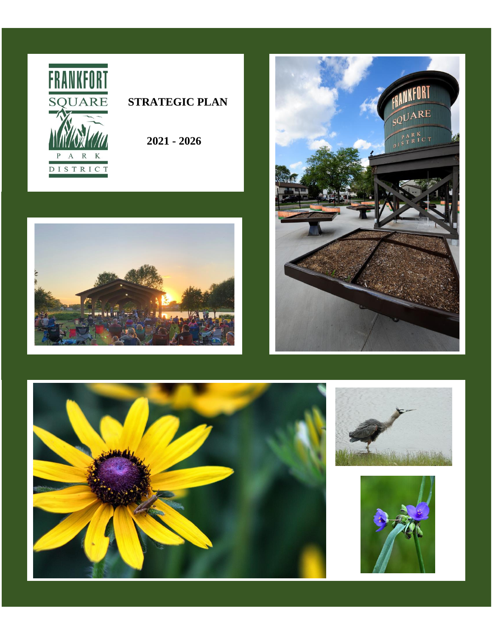

# **STRATEGIC PLAN**

 **2021 - 2026**





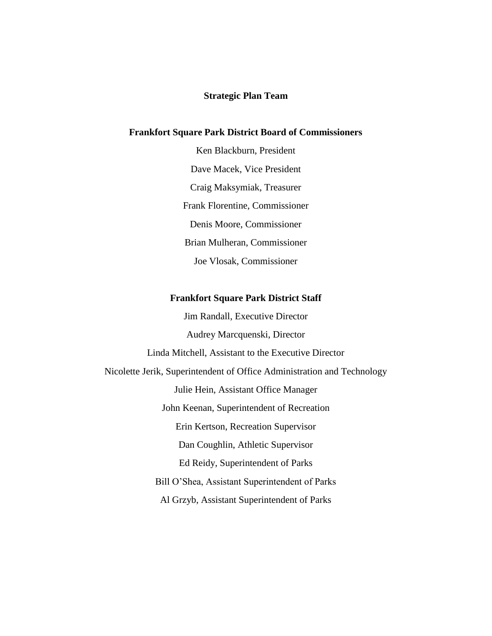#### **Strategic Plan Team**

### **Frankfort Square Park District Board of Commissioners**

Ken Blackburn, President Dave Macek, Vice President Craig Maksymiak, Treasurer Frank Florentine, Commissioner Denis Moore, Commissioner Brian Mulheran, Commissioner Joe Vlosak, Commissioner

#### **Frankfort Square Park District Staff**

Jim Randall, Executive Director Audrey Marcquenski, Director Linda Mitchell, Assistant to the Executive Director Nicolette Jerik, Superintendent of Office Administration and Technology Julie Hein, Assistant Office Manager John Keenan, Superintendent of Recreation Erin Kertson, Recreation Supervisor Dan Coughlin, Athletic Supervisor Ed Reidy, Superintendent of Parks Bill O'Shea, Assistant Superintendent of Parks Al Grzyb, Assistant Superintendent of Parks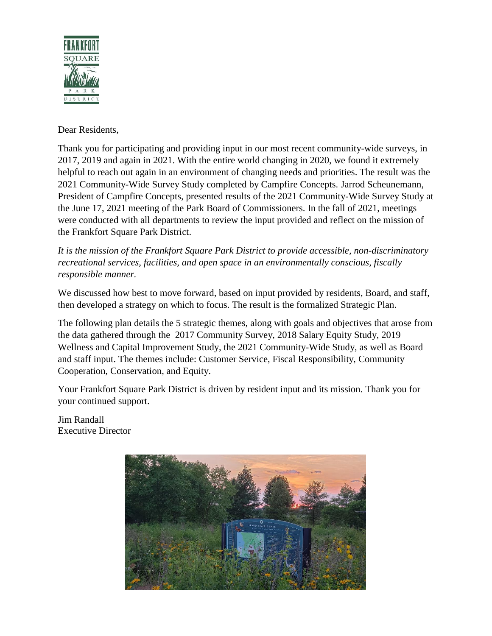

Dear Residents,

Thank you for participating and providing input in our most recent community-wide surveys, in 2017, 2019 and again in 2021. With the entire world changing in 2020, we found it extremely helpful to reach out again in an environment of changing needs and priorities. The result was the 2021 Community-Wide Survey Study completed by Campfire Concepts. Jarrod Scheunemann, President of Campfire Concepts, presented results of the 2021 Community-Wide Survey Study at the June 17, 2021 meeting of the Park Board of Commissioners. In the fall of 2021, meetings were conducted with all departments to review the input provided and reflect on the mission of the Frankfort Square Park District.

*It is the mission of the Frankfort Square Park District to provide accessible, non-discriminatory recreational services, facilities, and open space in an environmentally conscious, fiscally responsible manner.*

We discussed how best to move forward, based on input provided by residents, Board, and staff, then developed a strategy on which to focus. The result is the formalized Strategic Plan.

The following plan details the 5 strategic themes, along with goals and objectives that arose from the data gathered through the 2017 Community Survey, 2018 Salary Equity Study, 2019 Wellness and Capital Improvement Study, the 2021 Community-Wide Study, as well as Board and staff input. The themes include: Customer Service, Fiscal Responsibility, Community Cooperation, Conservation, and Equity.

Your Frankfort Square Park District is driven by resident input and its mission. Thank you for your continued support.

Jim Randall Executive Director

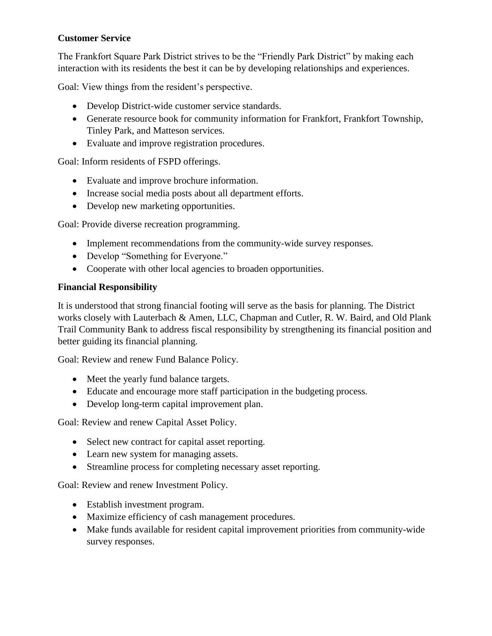# **Customer Service**

The Frankfort Square Park District strives to be the "Friendly Park District" by making each interaction with its residents the best it can be by developing relationships and experiences.

Goal: View things from the resident's perspective.

- Develop District-wide customer service standards.
- Generate resource book for community information for Frankfort, Frankfort Township, Tinley Park, and Matteson services.
- Evaluate and improve registration procedures.

Goal: Inform residents of FSPD offerings.

- Evaluate and improve brochure information.
- Increase social media posts about all department efforts.
- Develop new marketing opportunities.

Goal: Provide diverse recreation programming.

- Implement recommendations from the community-wide survey responses.
- Develop "Something for Everyone."
- Cooperate with other local agencies to broaden opportunities.

## **Financial Responsibility**

It is understood that strong financial footing will serve as the basis for planning. The District works closely with Lauterbach & Amen, LLC, Chapman and Cutler, R. W. Baird, and Old Plank Trail Community Bank to address fiscal responsibility by strengthening its financial position and better guiding its financial planning.

Goal: Review and renew Fund Balance Policy.

- Meet the yearly fund balance targets.
- Educate and encourage more staff participation in the budgeting process.
- Develop long-term capital improvement plan.

Goal: Review and renew Capital Asset Policy.

- Select new contract for capital asset reporting.
- Learn new system for managing assets.
- Streamline process for completing necessary asset reporting.

Goal: Review and renew Investment Policy.

- Establish investment program.
- Maximize efficiency of cash management procedures.
- Make funds available for resident capital improvement priorities from community-wide survey responses.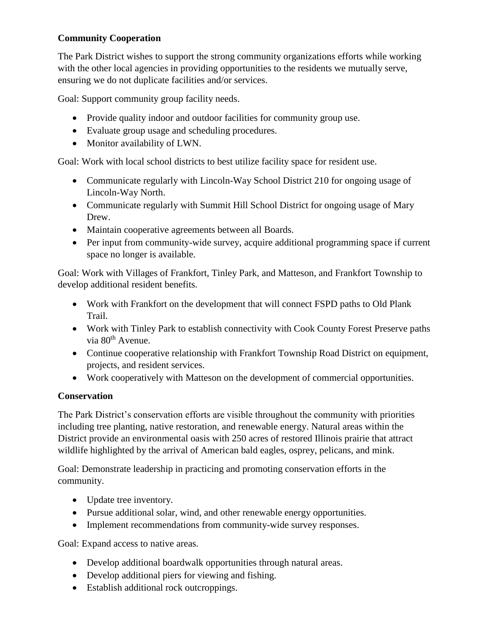# **Community Cooperation**

The Park District wishes to support the strong community organizations efforts while working with the other local agencies in providing opportunities to the residents we mutually serve, ensuring we do not duplicate facilities and/or services.

Goal: Support community group facility needs.

- Provide quality indoor and outdoor facilities for community group use.
- Evaluate group usage and scheduling procedures.
- Monitor availability of LWN.

Goal: Work with local school districts to best utilize facility space for resident use.

- Communicate regularly with Lincoln-Way School District 210 for ongoing usage of Lincoln-Way North.
- Communicate regularly with Summit Hill School District for ongoing usage of Mary Drew.
- Maintain cooperative agreements between all Boards.
- Per input from community-wide survey, acquire additional programming space if current space no longer is available.

Goal: Work with Villages of Frankfort, Tinley Park, and Matteson, and Frankfort Township to develop additional resident benefits.

- Work with Frankfort on the development that will connect FSPD paths to Old Plank Trail.
- Work with Tinley Park to establish connectivity with Cook County Forest Preserve paths via 80<sup>th</sup> Avenue.
- Continue cooperative relationship with Frankfort Township Road District on equipment, projects, and resident services.
- Work cooperatively with Matteson on the development of commercial opportunities.

# **Conservation**

The Park District's conservation efforts are visible throughout the community with priorities including tree planting, native restoration, and renewable energy. Natural areas within the District provide an environmental oasis with 250 acres of restored Illinois prairie that attract wildlife highlighted by the arrival of American bald eagles, osprey, pelicans, and mink.

Goal: Demonstrate leadership in practicing and promoting conservation efforts in the community.

- Update tree inventory.
- Pursue additional solar, wind, and other renewable energy opportunities.
- Implement recommendations from community-wide survey responses.

Goal: Expand access to native areas.

- Develop additional boardwalk opportunities through natural areas.
- Develop additional piers for viewing and fishing.
- Establish additional rock outcroppings.